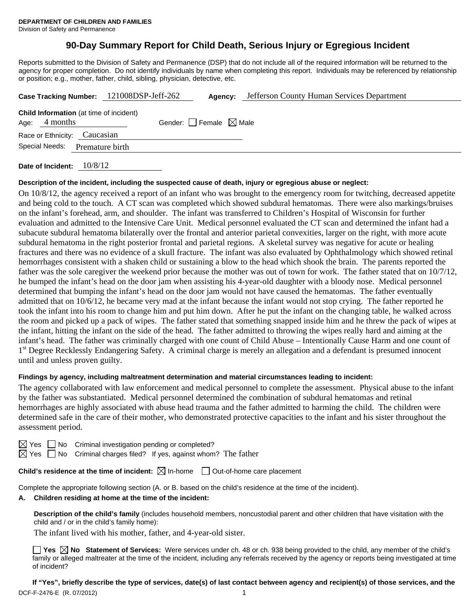# **90-Day Summary Report for Child Death, Serious Injury or Egregious Incident**

Reports submitted to the Division of Safety and Permanence (DSP) that do not include all of the required information will be returned to the agency for proper completion. Do not identify individuals by name when completing this report. Individuals may be referenced by relationship or position; e.g., mother, father, child, sibling, physician, detective, etc.

|                              |                                                | Case Tracking Number: 121008DSP-Jeff-262 | Agency:                         | Jefferson County Human Services Department |
|------------------------------|------------------------------------------------|------------------------------------------|---------------------------------|--------------------------------------------|
| Age: $4$ months              | <b>Child Information</b> (at time of incident) |                                          | Gender: Female $\boxtimes$ Male |                                            |
| Race or Ethnicity: Caucasian |                                                |                                          |                                 |                                            |
| Special Needs:               | Premature birth                                |                                          |                                 |                                            |
|                              |                                                |                                          |                                 |                                            |

**Date of Incident:** 10/8/12

### **Description of the incident, including the suspected cause of death, injury or egregious abuse or neglect:**

On 10/8/12, the agency received a report of an infant who was brought to the emergency room for twitching, decreased appetite and being cold to the touch. A CT scan was completed which showed subdural hematomas. There were also markings/bruises on the infant's forehead, arm, and shoulder. The infant was transferred to Children's Hospital of Wisconsin for further evaluation and admitted to the Intensive Care Unit. Medical personnel evaluated the CT scan and determined the infant had a subacute subdural hematoma bilaterally over the frontal and anterior parietal convexities, larger on the right, with more acute subdural hematoma in the right posterior frontal and parietal regions. A skeletal survey was negative for acute or healing fractures and there was no evidence of a skull fracture. The infant was also evaluated by Ophthalmology which showed retinal hemorrhages consistent with a shaken child or sustaining a blow to the head which shook the brain. The parents reported the father was the sole caregiver the weekend prior because the mother was out of town for work. The father stated that on 10/7/12, he bumped the infant's head on the door jam when assisting his 4-year-old daughter with a bloody nose. Medical personnel determined that bumping the infant's head on the door jam would not have caused the hematomas. The father eventually admitted that on 10/6/12, he became very mad at the infant because the infant would not stop crying. The father reported he took the infant into his room to change him and put him down. After he put the infant on the changing table, he walked across the room and picked up a pack of wipes. The father stated that something snapped inside him and he threw the pack of wipes at the infant, hitting the infant on the side of the head. The father admitted to throwing the wipes really hard and aiming at the infant's head. The father was criminally charged with one count of Child Abuse – Intentionally Cause Harm and one count of 1<sup>st</sup> Degree Recklessly Endangering Safety. A criminal charge is merely an allegation and a defendant is presumed innocent until and unless proven guilty.

#### **Findings by agency, including maltreatment determination and material circumstances leading to incident:**

The agency collaborated with law enforcement and medical personnel to complete the assessment. Physical abuse to the infant by the father was substantiated. Medical personnel determined the combination of subdural hematomas and retinal hemorrhages are highly associated with abuse head trauma and the father admitted to harming the child. The children were determined safe in the care of their mother, who demonstrated protective capacities to the infant and his sister throughout the assessment period.

| × |  |
|---|--|
|   |  |

No Criminal investigation pending or completed?

 $\boxtimes$  Yes  $\Box$  No Criminal charges filed? If yes, against whom? The father

**Child's residence at the time of incident:**  $\boxtimes$  In-home  $\Box$  Out-of-home care placement

Complete the appropriate following section (A. or B. based on the child's residence at the time of the incident).

# **A. Children residing at home at the time of the incident:**

**Description of the child's family** (includes household members, noncustodial parent and other children that have visitation with the child and / or in the child's family home):

The infant lived with his mother, father, and 4-year-old sister.

■ Yes **No** Statement of Services: Were services under ch. 48 or ch. 938 being provided to the child, any member of the child's family or alleged maltreater at the time of the incident, including any referrals received by the agency or reports being investigated at time of incident?

DCF-F-2476-E (R. 07/2012) 1 **If "Yes", briefly describe the type of services, date(s) of last contact between agency and recipient(s) of those services, and the**